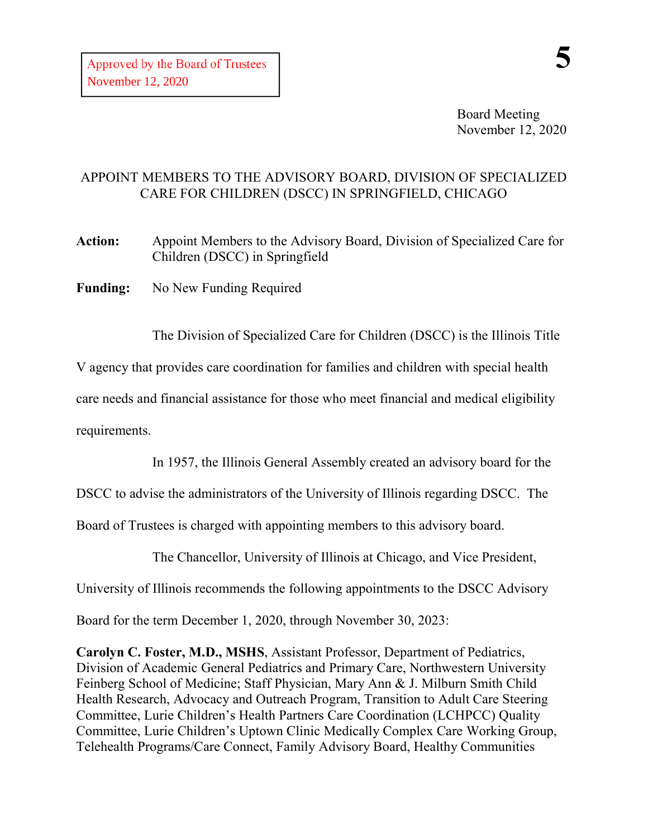Board Meeting November 12, 2020

## APPOINT MEMBERS TO THE ADVISORY BOARD, DIVISION OF SPECIALIZED CARE FOR CHILDREN (DSCC) IN SPRINGFIELD, CHICAGO

**Action:** Appoint Members to the Advisory Board, Division of Specialized Care for Children (DSCC) in Springfield

**Funding:** No New Funding Required

The Division of Specialized Care for Children (DSCC) is the Illinois Title

V agency that provides care coordination for families and children with special health

care needs and financial assistance for those who meet financial and medical eligibility requirements.

In 1957, the Illinois General Assembly created an advisory board for the

DSCC to advise the administrators of the University of Illinois regarding DSCC. The

Board of Trustees is charged with appointing members to this advisory board.

The Chancellor, University of Illinois at Chicago, and Vice President,

University of Illinois recommends the following appointments to the DSCC Advisory

Board for the term December 1, 2020, through November 30, 2023:

**Carolyn C. Foster, M.D., MSHS**, Assistant Professor, Department of Pediatrics, Division of Academic General Pediatrics and Primary Care, Northwestern University Feinberg School of Medicine; Staff Physician, Mary Ann & J. Milburn Smith Child Health Research, Advocacy and Outreach Program, Transition to Adult Care Steering Committee, Lurie Children's Health Partners Care Coordination (LCHPCC) Quality Committee, Lurie Children's Uptown Clinic Medically Complex Care Working Group, Telehealth Programs/Care Connect, Family Advisory Board, Healthy Communities